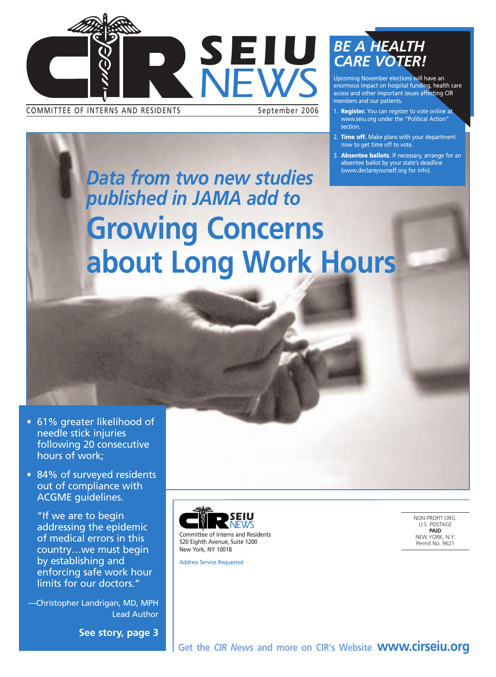

COMMITTEE OF INTERNS AND RESIDENTS September 2006

### *BE A HEALTH CARE VOTER!*

Upcoming November elections will have an enormous impact on hospital funding, health care access and other important issues affecting CIR members and our patients.

- 1. **Register.** You can register to vote online at www.seiu.org under the "Political Action" section.
- 2. **Time off.** Make plans with your department now to get time off to vote.
- 3. **Absentee ballots.** If necessary, arrange for an absentee ballot by your state's deadline (www.declareyourself.org for info).

*Data from two new studies published in JAMA add to*  **Growing Concerns about Long Work Hours**

- 61% greater likelihood of needle stick injuries following 20 consecutive hours of work;
- 84% of surveyed residents out of compliance with ACGME guidelines.

"If we are to begin addressing the epidemic of medical errors in this country…we must begin by establishing and enforcing safe work hour limits for our doctors."

—Christopher Landrigan, MD, MPH Lead Author

**See story, page 3**



Address Service Requested

NON-PROFIT ORG. U.S. POSTAGE **PAID** NEW YORK, N.Y. Permit No. 9621

**Get the** *CIR News* **and more on CIR's Website www.cirseiu.org**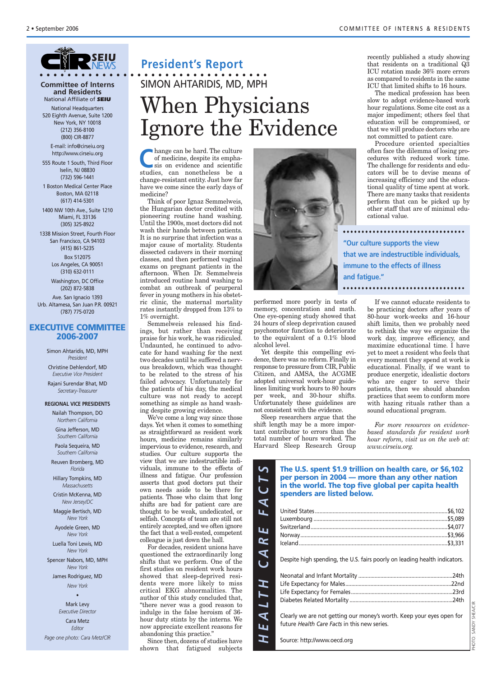

#### **Committee of Interns and Residents** National Affiliate of *SEIU*

National Headquarters 520 Eighth Avenue, Suite 1200 New York, NY 10018 (212) 356-8100 (800) CIR-8877

E-mail: info@cirseiu.org http://www.cirseiu.org

555 Route 1 South, Third Floor Iselin, NJ 08830 (732) 596-1441

1 Boston Medical Center Place Boston, MA 02118 (617) 414-5301

1400 NW 10th Ave., Suite 1210 Miami, FL 33136 (305) 325-8922

1338 Mission Street, Fourth Floor San Francisco, CA 94103 (415) 861-5235 Box 512075 Los Angeles, CA 90051 (310) 632-0111

> Washington, DC Office (202) 872-5838

Ave. San Ignacio 1393 Urb. Altamesa, San Juan P.R. 00921 (787) 775-0720

#### **EXECUTIVE COMMITTEE 2006-2007**

Simon Ahtaridis, MD, MPH *President* Christine Dehlendorf, MD *Executive Vice President* Rajani Surendar Bhat, MD

*Secretary-Treasurer*

#### **REGIONAL VICE PRESIDENTS** Nailah Thompson, DO

*Northern California* Gina Jefferson, MD *Southern California*

Paola Sequeira, MD *Southern California*

Reuven Bromberg, MD *Florida*

Hillary Tompkins, MD *Massachusetts*

Cristin McKenna, MD *New Jersey/DC*

Maggie Bertisch, MD *New York*

Ayodele Green, MD *New York*

Luella Toni Lewis, MD *New York*

Spencer Nabors, MD, MPH *New York*

James Rodriguez, MD *New York*

> • Mark Levy *Executive Director*

Cara Metz *Editor*

*Page one photo: Cara Metz/CIR*

#### **President's Report**

## When Physicians Ignore the Evidence SIMON AHTARIDIS, MD, MPH

**C**hange can be hard. The culture<br>
of medicine, despite its emphasis<br>
sis on evidence and scientific of medicine, despite its emphastudies, can nonetheless be a change-resistant entity. Just how far have we come since the early days of medicine?

Think of poor Ignaz Semmelweis, the Hungarian doctor credited with pioneering routine hand washing. Until the 1900s, most doctors did not wash their hands between patients. It is no surprise that infection was a major cause of mortality. Students dissected cadavers in their morning classes, and then performed vaginal exams on pregnant patients in the afternoon. When Dr. Semmelweis introduced routine hand washing to combat an outbreak of peurperal fever in young mothers in his obstetric clinic, the maternal mortality rates instantly dropped from 13% to 1% overnight.

Semmelweis released his findings, but rather than receiving praise for his work, he was ridiculed. Undaunted, he continued to advocate for hand washing for the next two decades until he suffered a nervous breakdown, which was thought to be related to the stress of his failed advocacy. Unfortunately for the patients of his day, the medical culture was not ready to accept something as simple as hand washing despite growing evidence.

We've come a long way since those days. Yet when it comes to something as straightforward as resident work hours, medicine remains similarly impervious to evidence, research, and studies. Our culture supports the view that we are indestructible individuals, immune to the effects of illness and fatigue. Our profession asserts that good doctors put their own needs aside to be there for patients. Those who claim that long shifts are bad for patient care are thought to be weak, undedicated, or selfish. Concepts of team are still not entirely accepted, and we often ignore the fact that a well-rested, competent colleague is just down the hall.

For decades, resident unions have questioned the extraordinarily long shifts that we perform. One of the first studies on resident work hours showed that sleep-deprived residents were more likely to miss critical EKG abnormalities. The author of this study concluded that, "there never was a good reason to indulge in the false heroism of 36 hour duty stints by the interns. We now appreciate excellent reasons for abandoning this practice."

Since then, dozens of studies have shown that fatigued subjects



performed more poorly in tests of memory, concentration and math. One eye-opening study showed that 24 hours of sleep deprivation caused psychomotor function to deteriorate to the equivalent of a 0.1% blood alcohol level.

Yet despite this compelling evidence, there was no reform. Finally in response to pressure from CIR, Public Citizen, and AMSA, the ACGME adopted universal work-hour guidelines limiting work hours to 80 hours per week, and 30-hour shifts. Unfortunately these guidelines are not consistent with the evidence.

Sleep researchers argue that the shift length may be a more important contributor to errors than the total number of hours worked. The Harvard Sleep Research Group recently published a study showing that residents on a traditional Q3 ICU rotation made 36% more errors as compared to residents in the same ICU that limited shifts to 16 hours.

The medical profession has been slow to adopt evidence-based work hour regulations. Some cite cost as a major impediment; others feel that education will be compromised, or that we will produce doctors who are not committed to patient care.

Procedure oriented specialties often face the dilemma of losing procedures with reduced work time. The challenge for residents and educators will be to devise means of increasing efficiency and the educational quality of time spent at work. There are many tasks that residents perform that can be picked up by other staff that are of minimal educational value.

**"Our culture supports the view that we are indestructible individuals, immune to the effects of illness and fatigue."**

If we cannot educate residents to be practicing doctors after years of 80-hour work-weeks and 16-hour shift limits, then we probably need to rethink the way we organize the work day, improve efficiency, and maximize educational time. I have yet to meet a resident who feels that every moment they spend at work is educational. Finally, if we want to produce energetic, idealistic doctors who are eager to serve their patients, then we should abandon practices that seem to conform more with hazing rituals rather than a sound educational program.

*For more resources on evidencebased standards for resident work hour reform, visit us on the web at: www.cirseiu.org.*

| 5<br>$\blacktriangleright$<br>$\overline{\mathsf{C}}$ | The U.S. spent \$1.9 trillion on health care, or \$6,102<br>per person in 2004 — more than any other nation<br>in the world. The top five global per capita health<br>spenders are listed below. |  |
|-------------------------------------------------------|--------------------------------------------------------------------------------------------------------------------------------------------------------------------------------------------------|--|
| F A                                                   |                                                                                                                                                                                                  |  |
|                                                       |                                                                                                                                                                                                  |  |
|                                                       |                                                                                                                                                                                                  |  |
| Ł                                                     |                                                                                                                                                                                                  |  |
| $\mathbf{R}$                                          |                                                                                                                                                                                                  |  |
| <b>AU</b>                                             | Despite high spending, the U.S. fairs poorly on leading health indicators.                                                                                                                       |  |
|                                                       |                                                                                                                                                                                                  |  |
|                                                       |                                                                                                                                                                                                  |  |
|                                                       |                                                                                                                                                                                                  |  |
| LTH                                                   |                                                                                                                                                                                                  |  |
| $E$ $A$                                               | Clearly we are not getting our money's worth. Keep your eyes open for                                                                                                                            |  |
|                                                       | future Health Care Facts in this new series.                                                                                                                                                     |  |
| エ                                                     | Source: http://www.oecd.org                                                                                                                                                                      |  |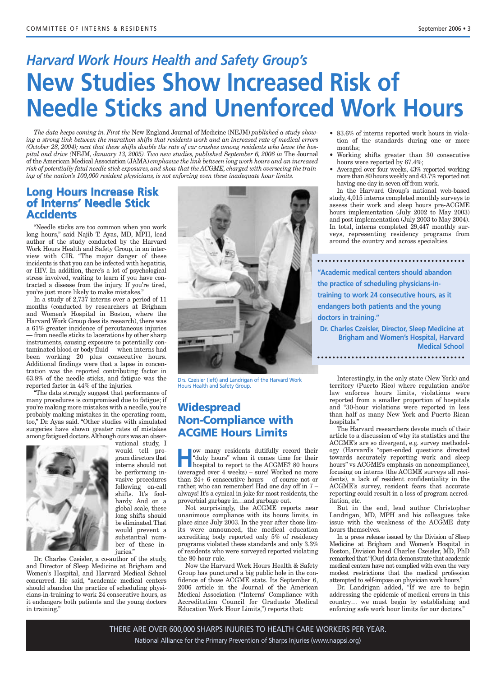## *Harvard Work Hours Health and Safety Group's* **New Studies Show Increased Risk of Needle Sticks and Unenforced Work Hours**

*The data keeps coming in. First the* New England Journal of Medicine (NEJM) *published a study showing a strong link between the marathon shifts that residents work and an increased rate of medical errors (October 28, 2004); next that these shifts double the rate of car crashes among residents who leave the hospital and drive (*NEJM*, January 13, 2005). Two new studies, published September 6, 2006 in* The Journal of the American Medical Association (JAMA) *emphasize the link between long work hours and an increased risk of potentially fatal needle stick exposures, and show that the ACGME, charged with overseeing the training of the nation's 100,000 resident physicians, is not enforcing even these inadequate hour limits.*

#### **Long Hours Increase Risk of Interns' Needle Stick Accidents**

"Needle sticks are too common when you work long hours," said Najib T. Ayas, MD, MPH, lead author of the study conducted by the Harvard Work Hours Health and Safety Group, in an interview with CIR. "The major danger of these incidents is that you can be infected with hepatitis, or HIV. In addition, there's a lot of psychological stress involved, waiting to learn if you have contracted a disease from the injury. If you're tired, you're just more likely to make mistakes."

In a study of 2,737 interns over a period of 11 months (conducted by researchers at Brigham and Women's Hospital in Boston, where the Harvard Work Group does its research), there was a 61% greater incidence of percutaneous injuries — from needle sticks to lacerations by other sharp instruments, causing exposure to potentially contaminated blood or body fluid — when interns had been working 20 plus consecutive hours. Additional findings were that a lapse in concentration was the reported contributing factor in 63.8% of the needle sticks, and fatigue was the reported factor in 44% of the injuries.

"The data strongly suggest that performance of many procedures is compromised due to fatigue; if you're making more mistakes with a needle, you're probably making mistakes in the operating room, too," Dr. Ayas said. "Other studies with simulated surgeries have shown greater rates of mistakes among fatigued doctors.Although ours was an obser-



vational study, I would tell program directors that interns should not be performing invasive procedures following on-call shifts. It's foolhardy. And on a global scale, these long shifts should be eliminated.That would prevent a substantial number of these injuries."

Dr. Charles Czeisler, a co-author of the study, and Director of Sleep Medicine at Brigham and Women's Hospital, and Harvard Medical School concurred. He said, "academic medical centers should abandon the practice of scheduling physicians-in-training to work 24 consecutive hours, as it endangers both patients and the young doctors in training."



Drs. Czeisler (left) and Landrigan of the Harvard Work Hours Health and Safety Group.

#### **Widespread Non-Compliance with ACGME Hours Limits**

**How many residents dutifully record their**<br>
"duty hours" when it comes time for their<br>
hospital to report to the ACGME? 80 hours<br>
(were god over 4 weeks) sured Werked to more "duty hours" when it comes time for their (averaged over 4 weeks) – sure! Worked no more than 24+ 6 consecutive hours – of course not or rather, who can remember! Had one day off in 7 – always! It's a cynical in-joke for most residents, the proverbial garbage in…and garbage out.

Not surprisingly, the ACGME reports near unanimous compliance with its hours limits, in place since July 2003. In the year after those limits were announced, the medical education accrediting body reported only 5% of residency programs violated these standards and only 3.3% of residents who were surveyed reported violating the 80-hour rule.

Now the Harvard Work Hours Health & Safety Group has punctured a big public hole in the confidence of those ACGME stats. Its September 6, 2006 article in the Journal of the American Medical Association ("Interns' Compliance with Accreditation Council for Graduate Medical Education Work Hour Limits,") reports that:

- 83.6% of interns reported work hours in violation of the standards during one or more months;
- Working shifts greater than 30 consecutive hours were reported by 67.4%;
- Averaged over four weeks, 43% reported working more than 80 hours weekly and 43.7% reported not having one day in seven off from work.

In the Harvard Group's national web-based study, 4,015 interns completed monthly surveys to assess their work and sleep hours pre-ACGME hours implementation (July 2002 to May 2003) and post implementation (July 2003 to May 2004). In total, interns completed 29,447 monthly surveys, representing residency programs from around the country and across specialties.

**"Academic medical centers should abandon the practice of scheduling physicians-intraining to work 24 consecutive hours, as it endangers both patients and the young doctors in training."**

**Dr. Charles Czeisler, Director, Sleep Medicine at Brigham and Women's Hospital, Harvard Medical School**

Interestingly, in the only state (New York) and territory (Puerto Rico) where regulation and/or law enforces hours limits, violations were reported from a smaller proportion of hospitals and "30-hour violations were reported in less than half as many New York and Puerto Rican hospitals."

The Harvard researchers devote much of their article to a discussion of why its statistics and the ACGME's are so divergent, e.g. survey methodology (Harvard's "open-ended questions directed towards accurately reporting work and sleep hours" vs ACGME's emphasis on noncompliance), focusing on interns (the ACGME surveys all residents), a lack of resident confidentiality in the ACGME's survey, resident fears that accurate reporting could result in a loss of program accreditation, etc.

But in the end, lead author Christopher Landrigan, MD, MPH and his colleagues take issue with the weakness of the ACGME duty hours themselves.

In a press release issued by the Division of Sleep Medicine at Brigham and Women's Hospital in Boston, Division head Charles Czeisler, MD, PhD remarked that "[Our] data demonstrate that academic medical centers have not complied with even the very modest restrictions that the medical profession attempted to self-impose on physician work hours."

Dr. Landrigan added, "If we are to begin addressing the epidemic of medical errors in this country… we must begin by establishing and enforcing safe work hour limits for our doctors."

THERE ARE OVER 600,000 SHARPS INJURIES TO HEALTH CARE WORKERS PER YEAR. National Alliance for the Primary Prevention of Sharps Injuries (www.nappsi.org)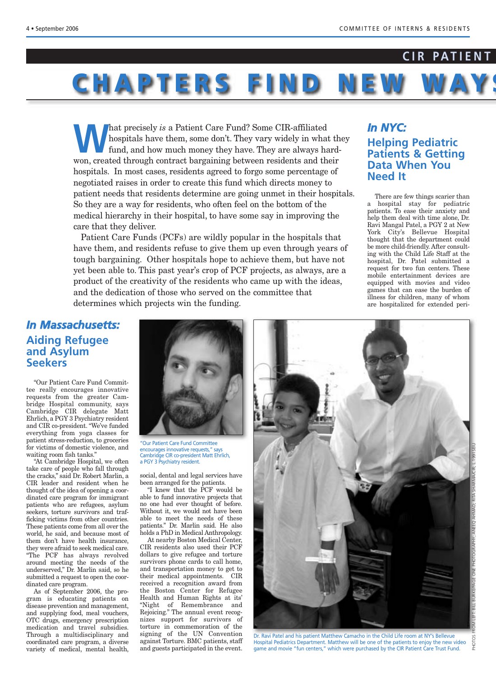#### **CIR PATIENT**

# CHAPTERS FIND NE

hat precisely *is* a Patient Care Fund? Some CIR-affiliated<br>hospitals have them, some don't. They vary widely in what<br>fund, and how much money they have. They are always have<br>we are always how and through contract horseini hospitals have them, some don't. They vary widely in what they fund, and how much money they have. They are always hardwon, created through contract bargaining between residents and their hospitals. In most cases, residents agreed to forgo some percentage of negotiated raises in order to create this fund which directs money to patient needs that residents determine are going unmet in their hospitals. So they are a way for residents, who often feel on the bottom of the medical hierarchy in their hospital, to have some say in improving the care that they deliver.

Patient Care Funds (PCFs) are wildly popular in the hospitals that have them, and residents refuse to give them up even through years of tough bargaining. Other hospitals hope to achieve them, but have not yet been able to. This past year's crop of PCF projects, as always, are a product of the creativity of the residents who came up with the ideas, and the dedication of those who served on the committee that determines which projects win the funding.

#### *In NYC:*

**Helping Pediatric Patients & Getting Data When You Need It** 

There are few things scarier than a hospital stay for pediatric patients. To ease their anxiety and help them deal with time alone, Dr. Ravi Mangal Patel, a PGY 2 at New York City's Bellevue Hospital thought that the department could be more child-friendly. After consulting with the Child Life Staff at the hospital, Dr. Patel submitted a request for two fun centers. These mobile entertainment devices are equipped with movies and video games that can ease the burden of illness for children, many of whom are hospitalized for extended peri-

#### *In Massachusetts:* **Aiding Refugee and Asylum Seekers**

"Our Patient Care Fund Committee really encourages innovative requests from the greater Cambridge Hospital community, says Cambridge CIR delegate Matt Ehrlich, a PGY 3 Psychiatry resident and CIR co-president. "We've funded everything from yoga classes for patient stress-reduction, to groceries for victims of domestic violence, and waiting room fish tanks."

"At Cambridge Hospital, we often take care of people who fall through the cracks," said Dr. Robert Marlin, a CIR leader and resident when he thought of the idea of opening a coordinated care program for immigrant patients who are refugees, asylum seekers, torture survivors and trafficking victims from other countries. These patients come from all over the world, he said, and because most of them don't have health insurance, they were afraid to seek medical care. "The PCF has always revolved around meeting the needs of the underserved," Dr. Marlin said, so he submitted a request to open the coordinated care program.

As of September 2006, the program is educating patients on disease prevention and management, and supplying food, meal vouchers, OTC drugs, emergency prescription medication and travel subsidies. Through a multidisciplinary and coordinated care program, a diverse variety of medical, mental health,



"Our Patient Care Fund Committee encourages innovative requests," says Cambridge CIR co-president Matt Ehrlich, a PGY 3 Psychiatry resident.

social, dental and legal services have been arranged for the patients.

"I knew that the PCF would be able to fund innovative projects that no one had ever thought of before. Without it, we would not have been able to meet the needs of these patients." Dr. Marlin said. He also holds a PhD in Medical Anthropology.

At nearby Boston Medical Center, CIR residents also used their PCF dollars to give refugee and torture survivors phone cards to call home, and transportation money to get to their medical appointments. CIR received a recognition award from the Boston Center for Refugee Health and Human Rights at its' "Night of Remembrance and Rejoicing." The annual event recognizes support for survivors of torture in commemoration of the signing of the UN Convention against Torture. BMC patients, staff and guests participated in the event.

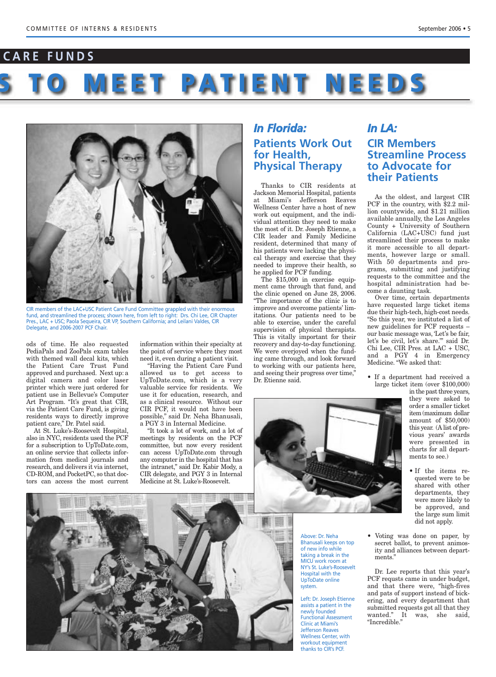### **T CARE FUNDS**

# **YS TO MEET PATIENT NEEDS**



CIR members of the LAC+USC Patient Care Fund Committee grappled with their enormous fund, and streamlined the process; shown here, from left to right: Drs. Chi Lee, CIR Chapter Pres., LAC + USC; Paola Sequeira, CIR VP, Southern California; and Leilani Valdes, CIR Delegate, and 2006-2007 PCF Chair.

ods of time. He also requested PediaPals and ZooPals exam tables with themed wall decal kits, which the Patient Care Trust Fund approved and purchased. Next up: a digital camera and color laser printer which were just ordered for patient use in Bellevue's Computer Art Program. "It's great that CIR, via the Patient Care Fund, is giving residents ways to directly improve patient care," Dr. Patel said.

At St. Luke's-Roosevelt Hospital, also in NYC, residents used the PCF for a subscription to UpToDate.com, an online service that collects information from medical journals and research, and delivers it via internet, CD-ROM, and PocketPC, so that doctors can access the most current information within their specialty at the point of service where they most need it, even during a patient visit.

"Having the Patient Care Fund allowed us to get access to UpToDate.com, which is a very valuable service for residents. We use it for education, research, and as a clinical resource. Without our CIR PCF, it would not have been possible," said Dr. Neha Bhanusali, a PGY 3 in Internal Medicine.

"It took a lot of work, and a lot of meetings by residents on the PCF committee, but now every resident can access UpToDate.com through any computer in the hospital that has the intranet," said Dr. Kabir Mody, a CIR delegate, and PGY 3 in Internal Medicine at St. Luke's-Roosevelt.

#### *In Florida:* **Patients Work Out for Health, Physical Therapy**

Thanks to CIR residents at Jackson Memorial Hospital, patients at Miami's Jefferson Reaves Wellness Center have a host of new work out equipment, and the individual attention they need to make the most of it. Dr. Joseph Etienne, a CIR leader and Family Medicine resident, determined that many of his patients were lacking the physical therapy and exercise that they needed to improve their health, so he applied for PCF funding.

The \$15,000 in exercise equipment came through that fund, and the clinic opened on June 28, 2006. "The importance of the clinic is to improve and overcome patients' limitations. Our patients need to be able to exercise, under the careful supervision of physical therapists. This is vitally important for their recovery and day-to-day functioning. We were overjoyed when the funding came through, and look forward to working with our patients here, and seeing their progress over time," Dr. Etienne said.





Above: Dr. Neha Bhanusali keeps on top of new info while taking a break in the MICU work room at NY's St. Luke's-Roosevelt Hospital with the UpToDate online system.

Left: Dr. Joseph Etienne assists a patient in the newly founded Functional Assessment Clinic at Miami's Jefferson Reaves Wellness Center, with workout equipment thanks to CIR's PCF.

#### *In LA:* **CIR Members Streamline Process to Advocate for their Patients**

As the oldest, and largest CIR PCF in the country, with \$2.2 million countywide, and \$1.21 million available annually, the Los Angeles County + University of Southern California (LAC+USC) fund just streamlined their process to make it more accessible to all departments, however large or small. With 50 departments and programs, submitting and justifying requests to the committee and the hospital administration had become a daunting task.

Over time, certain departments have requested large ticket items due their high-tech, high-cost needs. "So this year, we instituted a list of new guidelines for PCF requests – our basic message was, 'Let's be fair, let's be civil, let's share.'" said Dr. Chi Lee, CIR Pres. at LAC + USC, and a PGY 4 in Emergency Medicine. "We asked that:

• If a department had received a large ticket item (over \$100,000)

> in the past three years, they were asked to order a smaller ticket item (maximum dollar amount of \$50,000) this year. (A list of previous years' awards were presented in charts for all departments to see.)

- If the items requested were to be shared with other departments, they were more likely to be approved, and the large sum limit did not apply.
- Voting was done on paper, by secret ballot, to prevent animosity and alliances between departments."

Dr. Lee reports that this year's PCF requsts came in under budget, and that there were, "high-fives and pats of support instead of bickering, and every department that submitted requests got all that they wanted." It was, she said, "Incredible."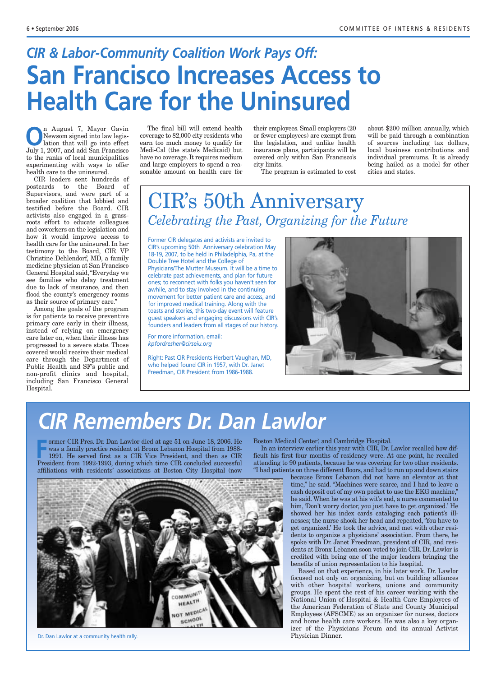# *CIR & Labor-Community Coalition Work Pays Off:* **San Francisco Increases Access to Health Care for the Uninsured**

**O**n August 7, Mayor Gavin<br>Newsom signed into law legis-<br>lation that will go into effect<br>Italy 1,2007 and add San Francisco Newsom signed into law legislation that will go into effect July 1, 2007, and add San Francisco to the ranks of local municipalities experimenting with ways to offer health care to the uninsured.

CIR leaders sent hundreds of postcards to the Board of Supervisors, and were part of a broader coalition that lobbied and testified before the Board. CIR activists also engaged in a grassroots effort to educate colleagues and coworkers on the legislation and how it would improve access to health care for the uninsured. In her testimony to the Board, CIR VP Christine Dehlendorf, MD, a family medicine physician at San Francisco General Hospital said, "Everyday we see families who delay treatment due to lack of insurance, and then flood the county's emergency rooms as their source of primary care."

Among the goals of the program is for patients to receive preventive primary care early in their illness, instead of relying on emergency care later on, when their illness has progressed to a severe state. Those covered would receive their medical care through the Department of Public Health and SF's public and non-profit clinics and hospital, including San Francisco General Hospital.

The final bill will extend health coverage to 82,000 city residents who earn too much money to qualify for Medi-Cal (the state's Medicaid) but have no coverage. It requires medium and large employers to spend a reasonable amount on health care for

their employees. Small employers (20 or fewer employees) are exempt from the legislation, and unlike health insurance plans, participants will be covered only within San Francisco's city limits.

The program is estimated to cost

about \$200 million annually, which will be paid through a combination of sources including tax dollars, local business contributions and individual premiums. It is already being hailed as a model for other cities and states.

### CIR's 50th Anniversary *Celebrating the Past, Organizing for the Future*

Former CIR delegates and activists are invited to CIR's upcoming 50th Anniversary celebration May 18-19, 2007, to be held in Philadelphia, Pa, at the Double Tree Hotel and the College of Physicians/The Mutter Museum. It will be a time to celebrate past achievements, and plan for future

ones; to reconnect with folks you haven't seen for awhile, and to stay involved in the continuing movement for better patient care and access, and for improved medical training. Along with the toasts and stories, this two-day event will feature guest speakers and engaging discussions with CIR's founders and leaders from all stages of our history.

For more information, email: *kpfordresher@cirseiu.org*

Right: Past CIR Presidents Herbert Vaughan, MD, who helped found CIR in 1957, with Dr. Janet Freedman, CIR President from 1986-1988.



## *CIR Remembers Dr. Dan Lawlor*

Free States Fig. Dan Lawlor died at age 51 on June 18, 2006. He<br>
Free was a family practice resident at Bronx Lebanon Hospital from 1988-<br>
1991. He served first as a CIR Vice President, and then as CIR<br>
President from 1992 ormer CIR Pres. Dr. Dan Lawlor died at age 51 on June 18, 2006. He was a family practice resident at Bronx Lebanon Hospital from 1988- 1991. He served first as a CIR Vice President, and then as CIR affiliations with residents' associations at Boston City Hospital (now



Dr. Dan Lawlor at a community health rally.

Boston Medical Center) and Cambridge Hospital.

In an interview earlier this year with CIR, Dr. Lawlor recalled how difficult his first four months of residency were. At one point, he recalled attending to 90 patients, because he was covering for two other residents. "I had patients on three different floors, and had to run up and down stairs

because Bronx Lebanon did not have an elevator at that time," he said. "Machines were scarce, and I had to leave a cash deposit out of my own pocket to use the EKG machine," he said. When he was at his wit's end, a nurse commented to him, 'Don't worry doctor, you just have to get organized.' He showed her his index cards cataloging each patient's illnesses; the nurse shook her head and repeated, 'You have to get organized.' He took the advice, and met with other residents to organize a physicians' association. From there, he spoke with Dr. Janet Freedman, president of CIR, and residents at Bronx Lebanon soon voted to join CIR. Dr. Lawlor is credited with being one of the major leaders bringing the benefits of union representation to his hospital.

Based on that experience, in his later work, Dr. Lawlor focused not only on organizing, but on building alliances with other hospital workers, unions and community groups. He spent the rest of his career working with the National Union of Hospital & Health Care Employees of the American Federation of State and County Municipal Employees (AFSCME) as an organizer for nurses, doctors and home health care workers. He was also a key organizer of the Physicians Forum and its annual Activist Physician Dinner.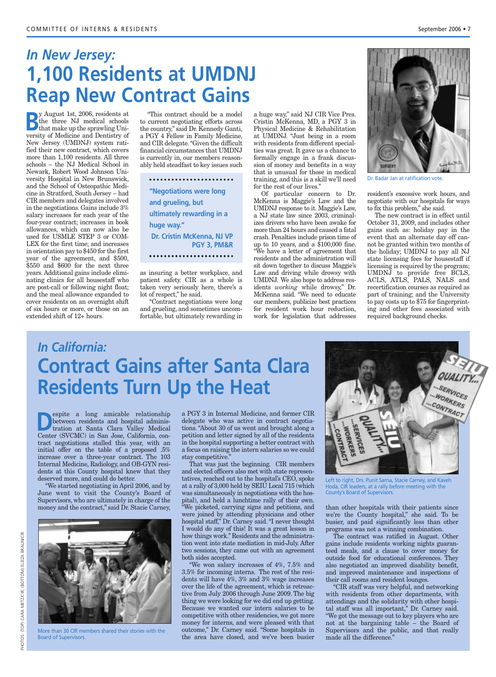### *In New Jersey:* **1,100 Residents at UMDNJ Reap New Contract Gains**

**B**y August 1st, 2006, residents at<br>the three NJ medical schools<br>that make up the sprawling Unithe three NJ medical schools that make up the sprawling University of Medicine and Dentistry of New Jersey (UMDNJ) system ratified their new contract, which covers more than 1,100 residents. All three schools – the NJ Medical School in Newark, Robert Wood Johnson University Hospital in New Brunswick, and the School of Osteopathic Medicine in Stratford, South Jersey – had CIR members and delegates involved in the negotiations. Gains include 3% salary increases for each year of the four-year contract; increases in book allowances, which can now also be used for USMLE STEP 3 or COM-LEX for the first time; and increases in orientation pay to \$450 for the first year of the agreement, and \$500, \$550 and \$600 for the next three years. Additional gains include eliminating clinics for all housestaff who are post-call or following night float; and the meal allowance expanded to cover residents on an overnight shift of six hours or more, or those on an extended shift of 12+ hours.

"This contract should be a model to current negotiating efforts across the country," said Dr. Kennedy Ganti, a PGY 4 Fellow in Family Medicine, and CIR delegate. "Given the difficult financial circumstances that UMDNJ is currently in, our members reasonably held steadfast to key issues such

**"Negotiations were long and grueling, but ultimately rewarding in a huge way." Dr. Cristin McKenna, NJ VP PGY 3, PM&R**

as insuring a better workplace, and patient safety. CIR as a whole is taken very seriously here, there's a lot of respect," he said.

"Contract negotiations were long and grueling, and sometimes uncomfortable, but ultimately rewarding in

a huge way," said NJ CIR Vice Pres. Cristin McKenna, MD, a PGY 3 in Physical Medicine & Rehabilitation at UMDNJ. "Just being in a room with residents from different specialties was great. It gave us a chance to formally engage in a frank discussion of money and benefits in a way that is unusual for those in medical training, and this is a skill we'll need for the rest of our lives."

Of particular concern to Dr. McKenna is Maggie's Law and the UMDNJ response to it. Maggie's Law, a NJ state law since 2003, criminalizes drivers who have been awake for more than 24 hours and caused a fatal crash. Penalties include prison time of up to 10 years, and a  $$100,000$  fine. "We have a letter of agreement that residents and the administration will sit down together to discuss Maggie's Law and driving while drowsy with UMDNJ. We also hope to address residents *working* while drowsy," Dr. McKenna said. "We need to educate our members, publicize best practices for resident work hour reduction, work for legislation that addresses



Dr. Badar Jan at ratification vote.

resident's excessive work hours, and negotiate with our hospitals for ways to fix this problem," she said.

The new contract is in effect until October 31, 2009, and includes other gains such as: holiday pay in the event that an alternate day off cannot be granted within two months of the holiday; UMDNJ to pay all NJ state licensing fees for housestaff if licensing is required by the program; UMDNJ to provide free BCLS, ACLS, ATLS, PALS, NALS and recertification courses as required as part of training; and the University to pay costs up to \$75 for fingerprinting and other fees associated with required background checks.

### *In California:*  **Contract Gains after Santa Clara Residents Turn Up the Heat**

**Despite a long amicable relationship**<br>between residents and hospital administration at Santa Clara Valley Medical<br>Center (SVCMC) in Sep Jese Celifornia con between residents and hospital adminis-Center (SVCMC) in San Jose, California, contract negotiations stalled this year, with an initial offer on the table of a proposed .5% increase over a three-year contract. The 103 Internal Medicine, Radiology, and OB-GYN residents at this County hospital knew that they deserved more, and could do better.

"We started negotiating in April 2006, and by June went to visit the County's Board of Supervisors, who are ultimately in charge of the money and the contract," said Dr. Stacie Carney,



EIZA BRAUN/CIR

More than 30 CIR members shared their stories with the Board of Supervisors.

a PGY 3 in Internal Medicine, and former CIR delegate who was active in contract negotiations. "About 30 of us went and brought along a petition and letter signed by all of the residents in the hospital supporting a better contract with a focus on raising the intern salaries so we could stay competitive."

That was just the beginning. CIR members and elected officers also met with state representatives, reached out to the hospital's CEO, spoke at a rally of 3,000 held by SEIU Local 715 (which was simultaneously in negotiations with the hospital), and held a lunchtime rally of their own. "We picketed, carrying signs and petitions, and were joined by attending physicians and other hospital staff," Dr. Carney said. "I never thought I would do any of this! It was a great lesson in how things work." Residents and the administration went into state mediation in mid-July. After two sessions, they came out with an agreement both sides accepted.

We won salary increases of  $4\%$ ,  $7.5\%$  and 3.5% for incoming interns. The rest of the residents will have  $4\%$ ,  $3\%$  and  $3\%$  wage increases over the life of the agreement, which is retroactive from July 2006 through June 2009. The big thing we were looking for we did end up getting. Because we wanted our intern salaries to be competitive with other residencies, we got more money for interns, and were pleased with that outcome," Dr. Carney said. "Some hospitals in the area have closed, and we've been busier



Left to right, Drs. Punit Sarna, Stacie Carney, and Kaveh Hoda, CIR leaders, at a rally before meeting with the County's Board of Supervisors.

than other hospitals with their patients since we're the County hospital," she said. To be busier, and paid significantly less than other programs was not a winning combination.

The contract was ratified in August. Other gains include residents working nights guaranteed meals, and a clause to cover money for outside food for educational conferences. They also negotiated an improved disability benefit, and improved maintenance and inspections of their call rooms and resident lounges.

"CIR staff was very helpful, and networking with residents from other departments, with attendings and the solidarity with other hospital staff was all important," Dr. Carney said. "We got the message out to key players who are not at the bargaining table – the Board of Supervisors and the public, and that really made all the difference."